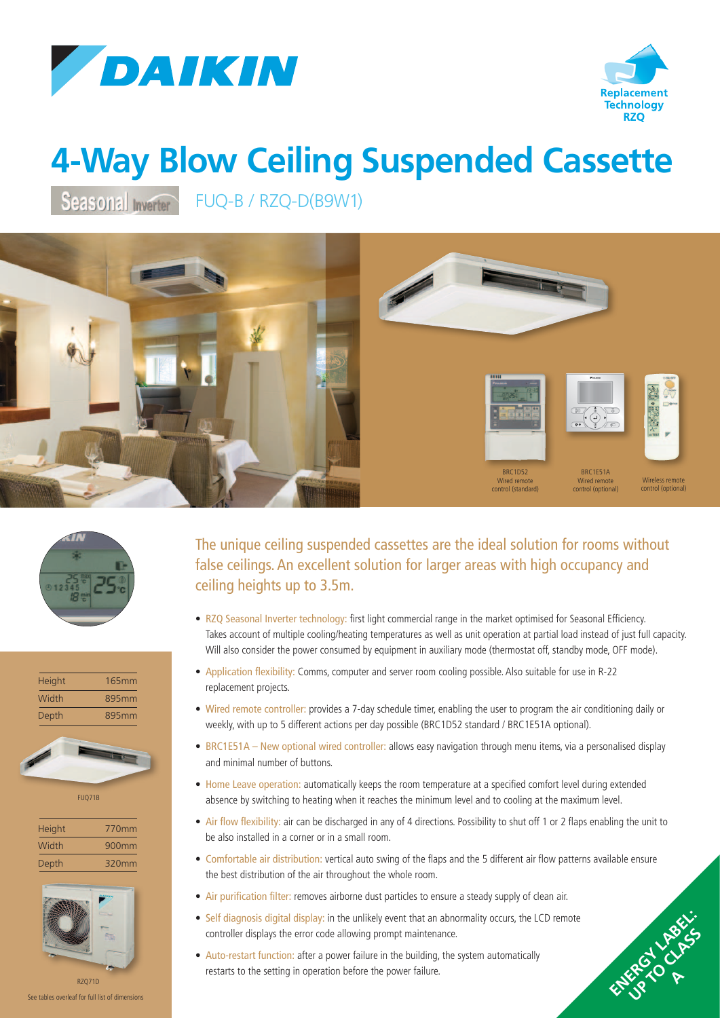



ENERGY LABEL: UP TO CLASS P **A**

## **4-Way Blow Ceiling Suspended Cassette**

Seasonal Inverter FUQ-B / RZQ-D(B9W1)









FUQ71B

| <b>Height</b> | 770mm |
|---------------|-------|
| Width         | 900mm |
| Depth         | 320mm |



See tables overleaf for full list of dimensions

The unique ceiling suspended cassettes are the ideal solution for rooms without false ceilings. An excellent solution for larger areas with high occupancy and ceiling heights up to 3.5m.

- RZQ Seasonal Inverter technology: first light commercial range in the market optimised for Seasonal Efficiency. Takes account of multiple cooling/heating temperatures as well as unit operation at partial load instead of just full capacity. Will also consider the power consumed by equipment in auxiliary mode (thermostat off, standby mode, OFF mode).
- Application flexibility: Comms, computer and server room cooling possible. Also suitable for use in R-22 replacement projects.
- Wired remote controller: provides a 7-day schedule timer, enabling the user to program the air conditioning daily or weekly, with up to 5 different actions per day possible (BRC1D52 standard / BRC1E51A optional).
- BRC1E51A New optional wired controller: allows easy navigation through menu items, via a personalised display and minimal number of buttons.
- Home Leave operation: automatically keeps the room temperature at a specified comfort level during extended absence by switching to heating when it reaches the minimum level and to cooling at the maximum level.
- Air flow flexibility: air can be discharged in any of 4 directions. Possibility to shut off 1 or 2 flaps enabling the unit to be also installed in a corner or in a small room.
- Comfortable air distribution: vertical auto swing of the flaps and the 5 different air flow patterns available ensure the best distribution of the air throughout the whole room.
- Air purification filter: removes airborne dust particles to ensure a steady supply of clean air.
- Self diagnosis digital display: in the unlikely event that an abnormality occurs, the LCD remote controller displays the error code allowing prompt maintenance.
- Auto-restart function: after a power failure in the building, the system automatically restarts to the setting in operation before the power failure.